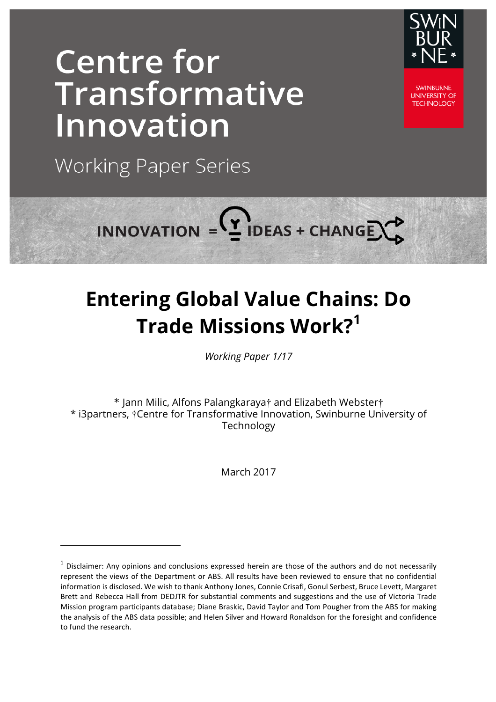# **Centre for** Transformative **Innovation**



**SWINBURNE UNIVERSITY OF TECHNOLOGY** 

**Working Paper Series** 

<u> 1989 - Johann Barn, mars eta bainar eta industrial eta baina eta baina eta baina eta baina eta baina eta bain</u>



# **Entering Global Value Chains: Do Trade Missions Work?<sup>1</sup>**

*Working Paper 1/17*

\* Jann Milic, Alfons Palangkaraya† and Elizabeth Webster† \* i3partners, †Centre for Transformative Innovation, Swinburne University of Technology

March 2017

 $1$  Disclaimer: Any opinions and conclusions expressed herein are those of the authors and do not necessarily represent the views of the Department or ABS. All results have been reviewed to ensure that no confidential information is disclosed. We wish to thank Anthony Jones, Connie Crisafi, Gonul Serbest, Bruce Levett, Margaret Brett and Rebecca Hall from DEDJTR for substantial comments and suggestions and the use of Victoria Trade Mission program participants database; Diane Braskic, David Taylor and Tom Pougher from the ABS for making the analysis of the ABS data possible; and Helen Silver and Howard Ronaldson for the foresight and confidence to fund the research.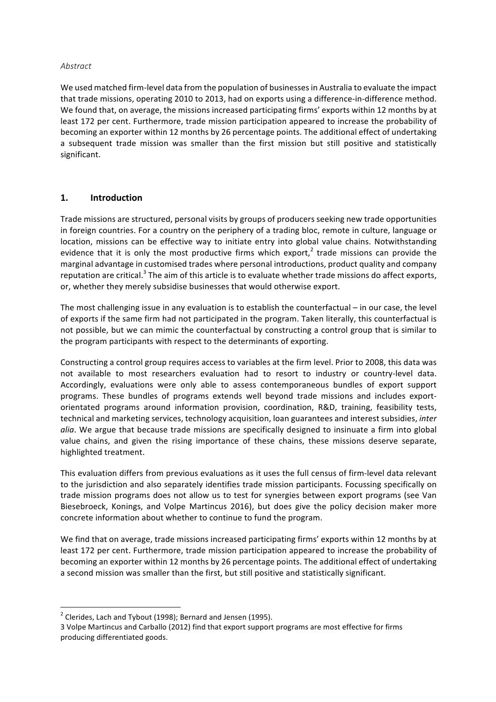#### *Abstract*

We used matched firm-level data from the population of businesses in Australia to evaluate the impact that trade missions, operating 2010 to 2013, had on exports using a difference-in-difference method. We found that, on average, the missions increased participating firms' exports within 12 months by at least 172 per cent. Furthermore, trade mission participation appeared to increase the probability of becoming an exporter within 12 months by 26 percentage points. The additional effect of undertaking a subsequent trade mission was smaller than the first mission but still positive and statistically significant.

#### **1. Introduction**

Trade missions are structured, personal visits by groups of producers seeking new trade opportunities in foreign countries. For a country on the periphery of a trading bloc, remote in culture, language or location, missions can be effective way to initiate entry into global value chains. Notwithstanding evidence that it is only the most productive firms which export,<sup>2</sup> trade missions can provide the marginal advantage in customised trades where personal introductions, product quality and company reputation are critical.<sup>3</sup> The aim of this article is to evaluate whether trade missions do affect exports, or, whether they merely subsidise businesses that would otherwise export.

The most challenging issue in any evaluation is to establish the counterfactual  $-$  in our case, the level of exports if the same firm had not participated in the program. Taken literally, this counterfactual is not possible, but we can mimic the counterfactual by constructing a control group that is similar to the program participants with respect to the determinants of exporting.

Constructing a control group requires access to variables at the firm level. Prior to 2008, this data was not available to most researchers evaluation had to resort to industry or country-level data. Accordingly, evaluations were only able to assess contemporaneous bundles of export support programs. These bundles of programs extends well beyond trade missions and includes exportorientated programs around information provision, coordination, R&D, training, feasibility tests, technical and marketing services, technology acquisition, loan guarantees and interest subsidies, *inter alia*. We argue that because trade missions are specifically designed to insinuate a firm into global value chains, and given the rising importance of these chains, these missions deserve separate, highlighted treatment.

This evaluation differs from previous evaluations as it uses the full census of firm-level data relevant to the jurisdiction and also separately identifies trade mission participants. Focussing specifically on trade mission programs does not allow us to test for synergies between export programs (see Van Biesebroeck, Konings, and Volpe Martincus 2016), but does give the policy decision maker more concrete information about whether to continue to fund the program.

We find that on average, trade missions increased participating firms' exports within 12 months by at least 172 per cent. Furthermore, trade mission participation appeared to increase the probability of becoming an exporter within 12 months by 26 percentage points. The additional effect of undertaking a second mission was smaller than the first, but still positive and statistically significant.

<u> 1989 - Johann Barn, mars ann an t-Amhain an t-Amhain an t-Amhain an t-Amhain an t-Amhain an t-Amhain an t-Amh</u>

 $2$  Clerides, Lach and Tybout (1998); Bernard and Jensen (1995).

<sup>3</sup> Volpe Martincus and Carballo (2012) find that export support programs are most effective for firms producing differentiated goods.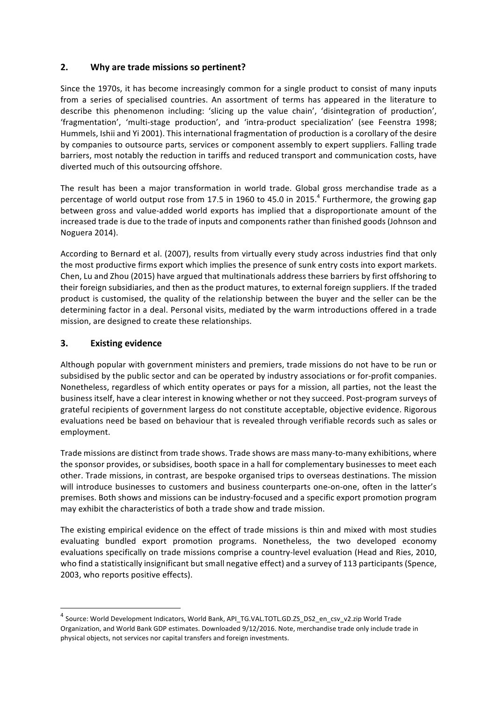# **2.** Why are trade missions so pertinent?

Since the 1970s, it has become increasingly common for a single product to consist of many inputs from a series of specialised countries. An assortment of terms has appeared in the literature to describe this phenomenon including: 'slicing up the value chain', 'disintegration of production', 'fragmentation', 'multi-stage production', and 'intra-product specialization' (see Feenstra 1998; Hummels, Ishii and Yi 2001). This international fragmentation of production is a corollary of the desire by companies to outsource parts, services or component assembly to expert suppliers. Falling trade barriers, most notably the reduction in tariffs and reduced transport and communication costs, have diverted much of this outsourcing offshore.

The result has been a major transformation in world trade. Global gross merchandise trade as a percentage of world output rose from 17.5 in 1960 to 45.0 in 2015.<sup>4</sup> Furthermore, the growing gap between gross and value-added world exports has implied that a disproportionate amount of the increased trade is due to the trade of inputs and components rather than finished goods (Johnson and Noguera 2014). 

According to Bernard et al. (2007), results from virtually every study across industries find that only the most productive firms export which implies the presence of sunk entry costs into export markets. Chen, Lu and Zhou (2015) have argued that multinationals address these barriers by first offshoring to their foreign subsidiaries, and then as the product matures, to external foreign suppliers. If the traded product is customised, the quality of the relationship between the buyer and the seller can be the determining factor in a deal. Personal visits, mediated by the warm introductions offered in a trade mission, are designed to create these relationships.

# **3. Existing evidence**

<u> 1989 - Johann Barn, mars eta bainar eta industrial eta baina eta baina eta baina eta baina eta baina eta bain</u>

Although popular with government ministers and premiers, trade missions do not have to be run or subsidised by the public sector and can be operated by industry associations or for-profit companies. Nonetheless, regardless of which entity operates or pays for a mission, all parties, not the least the business itself, have a clear interest in knowing whether or not they succeed. Post-program surveys of grateful recipients of government largess do not constitute acceptable, objective evidence. Rigorous evaluations need be based on behaviour that is revealed through verifiable records such as sales or employment.

Trade missions are distinct from trade shows. Trade shows are mass many-to-many exhibitions, where the sponsor provides, or subsidises, booth space in a hall for complementary businesses to meet each other. Trade missions, in contrast, are bespoke organised trips to overseas destinations. The mission will introduce businesses to customers and business counterparts one-on-one, often in the latter's premises. Both shows and missions can be industry-focused and a specific export promotion program may exhibit the characteristics of both a trade show and trade mission.

The existing empirical evidence on the effect of trade missions is thin and mixed with most studies evaluating bundled export promotion programs. Nonetheless, the two developed economy evaluations specifically on trade missions comprise a country-level evaluation (Head and Ries, 2010, who find a statistically insignificant but small negative effect) and a survey of 113 participants (Spence, 2003, who reports positive effects).

<sup>&</sup>lt;sup>4</sup> Source: World Development Indicators, World Bank, API\_TG.VAL.TOTL.GD.ZS\_DS2\_en\_csv\_v2.zip World Trade Organization, and World Bank GDP estimates. Downloaded 9/12/2016. Note, merchandise trade only include trade in physical objects, not services nor capital transfers and foreign investments.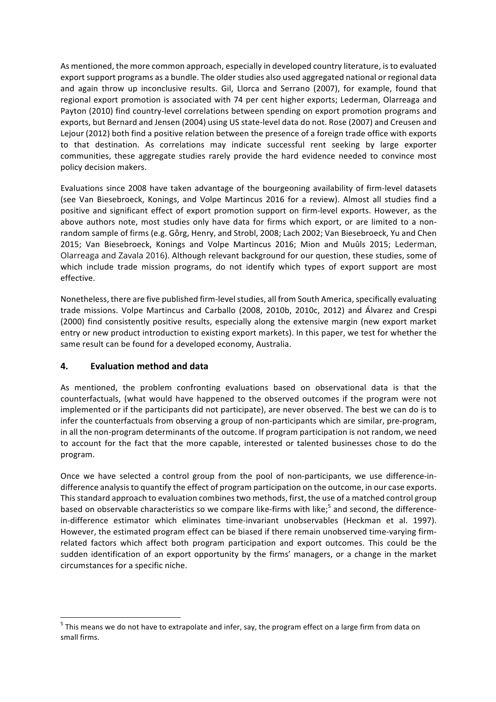As mentioned, the more common approach, especially in developed country literature, is to evaluated export support programs as a bundle. The older studies also used aggregated national or regional data and again throw up inconclusive results. Gil, Llorca and Serrano (2007), for example, found that regional export promotion is associated with 74 per cent higher exports; Lederman, Olarreaga and Payton (2010) find country-level correlations between spending on export promotion programs and exports, but Bernard and Jensen (2004) using US state-level data do not. Rose (2007) and Creusen and Lejour (2012) both find a positive relation between the presence of a foreign trade office with exports to that destination. As correlations may indicate successful rent seeking by large exporter communities, these aggregate studies rarely provide the hard evidence needed to convince most policy decision makers.

Evaluations since 2008 have taken advantage of the bourgeoning availability of firm-level datasets (see Van Biesebroeck, Konings, and Volpe Martincus 2016 for a review). Almost all studies find a positive and significant effect of export promotion support on firm-level exports. However, as the above authors note, most studies only have data for firms which export, or are limited to a nonrandom sample of firms (e.g. Görg, Henry, and Strobl, 2008; Lach 2002; Van Biesebroeck, Yu and Chen 2015; Van Biesebroeck, Konings and Volpe Martincus 2016; Mion and Muûls 2015; Lederman, Olarreaga and Zavala 2016). Although relevant background for our question, these studies, some of which include trade mission programs, do not identify which types of export support are most effective. 

Nonetheless, there are five published firm-level studies, all from South America, specifically evaluating trade missions. Volpe Martincus and Carballo (2008, 2010b, 2010c, 2012) and Álvarez and Crespi (2000) find consistently positive results, especially along the extensive margin (new export market entry or new product introduction to existing export markets). In this paper, we test for whether the same result can be found for a developed economy, Australia.

### **4. Evaluation method and data**

<u> 1989 - Johann Barn, mars ann an t-Amhain an t-Amhain an t-Amhain an t-Amhain an t-Amhain an t-Amhain an t-Amh</u>

As mentioned, the problem confronting evaluations based on observational data is that the counterfactuals, (what would have happened to the observed outcomes if the program were not implemented or if the participants did not participate), are never observed. The best we can do is to infer the counterfactuals from observing a group of non-participants which are similar, pre-program, in all the non-program determinants of the outcome. If program participation is not random, we need to account for the fact that the more capable, interested or talented businesses chose to do the program.

Once we have selected a control group from the pool of non-participants, we use difference-indifference analysis to quantify the effect of program participation on the outcome, in our case exports. This standard approach to evaluation combines two methods, first, the use of a matched control group based on observable characteristics so we compare like-firms with like;<sup>5</sup> and second, the differencein-difference estimator which eliminates time-invariant unobservables (Heckman et al. 1997). However, the estimated program effect can be biased if there remain unobserved time-varying firmrelated factors which affect both program participation and export outcomes. This could be the sudden identification of an export opportunity by the firms' managers, or a change in the market circumstances for a specific niche.

 $<sup>5</sup>$  This means we do not have to extrapolate and infer, say, the program effect on a large firm from data on</sup> small firms.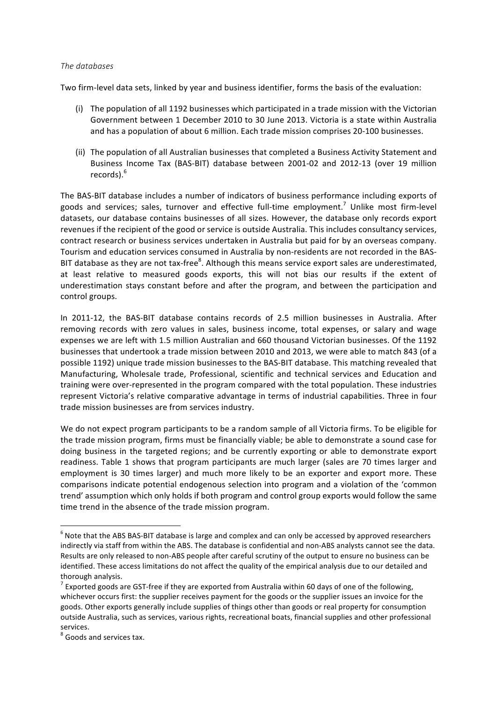#### *The databases*

Two firm-level data sets, linked by year and business identifier, forms the basis of the evaluation:

- (i) The population of all 1192 businesses which participated in a trade mission with the Victorian Government between 1 December 2010 to 30 June 2013. Victoria is a state within Australia and has a population of about 6 million. Each trade mission comprises 20-100 businesses.
- (ii) The population of all Australian businesses that completed a Business Activity Statement and Business Income Tax (BAS-BIT) database between 2001-02 and 2012-13 (over 19 million records). 6

The BAS-BIT database includes a number of indicators of business performance including exports of goods and services; sales, turnover and effective full-time employment.<sup>7</sup> Unlike most firm-level datasets, our database contains businesses of all sizes. However, the database only records export revenues if the recipient of the good or service is outside Australia. This includes consultancy services, contract research or business services undertaken in Australia but paid for by an overseas company. Tourism and education services consumed in Australia by non-residents are not recorded in the BAS-BIT database as they are not tax-free<sup>8</sup>. Although this means service export sales are underestimated, at least relative to measured goods exports, this will not bias our results if the extent of underestimation stays constant before and after the program, and between the participation and control groups.

In 2011-12, the BAS-BIT database contains records of 2.5 million businesses in Australia. After removing records with zero values in sales, business income, total expenses, or salary and wage expenses we are left with 1.5 million Australian and 660 thousand Victorian businesses. Of the 1192 businesses that undertook a trade mission between 2010 and 2013, we were able to match 843 (of a possible 1192) unique trade mission businesses to the BAS-BIT database. This matching revealed that Manufacturing, Wholesale trade, Professional, scientific and technical services and Education and training were over-represented in the program compared with the total population. These industries represent Victoria's relative comparative advantage in terms of industrial capabilities. Three in four trade mission businesses are from services industry.

We do not expect program participants to be a random sample of all Victoria firms. To be eligible for the trade mission program, firms must be financially viable; be able to demonstrate a sound case for doing business in the targeted regions; and be currently exporting or able to demonstrate export readiness. Table 1 shows that program participants are much larger (sales are 70 times larger and employment is 30 times larger) and much more likely to be an exporter and export more. These comparisons indicate potential endogenous selection into program and a violation of the 'common trend' assumption which only holds if both program and control group exports would follow the same time trend in the absence of the trade mission program.

<u> 1989 - Johann Barn, mars ann an t-Amhain an t-Amhain an t-Amhain an t-Amhain an t-Amhain an t-Amhain an t-Amh</u>

 $6$  Note that the ABS BAS-BIT database is large and complex and can only be accessed by approved researchers indirectly via staff from within the ABS. The database is confidential and non-ABS analysts cannot see the data. Results are only released to non-ABS people after careful scrutiny of the output to ensure no business can be identified. These access limitations do not affect the quality of the empirical analysis due to our detailed and thorough analysis.

 $<sup>7</sup>$  Exported goods are GST-free if they are exported from Australia within 60 days of one of the following,</sup> whichever occurs first: the supplier receives payment for the goods or the supplier issues an invoice for the goods. Other exports generally include supplies of things other than goods or real property for consumption outside Australia, such as services, various rights, recreational boats, financial supplies and other professional services.<br><sup>8</sup> Goods and services tax.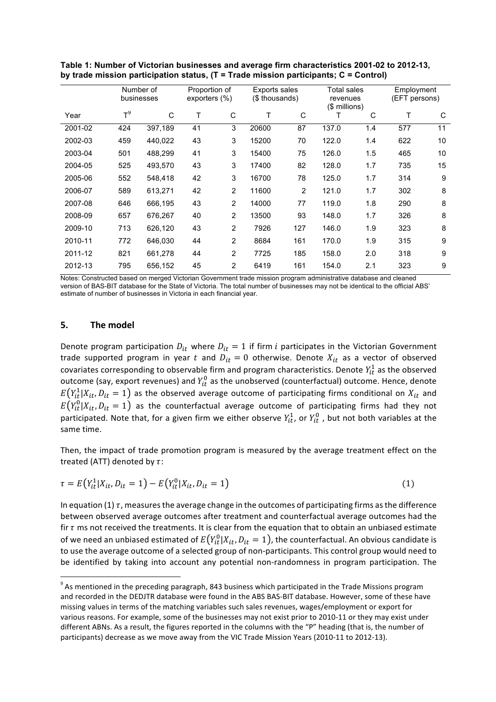|         | Number of<br>businesses |         | Proportion of<br>exporters (%) |                | <b>Exports sales</b><br>(\$ thousands) |                | Total sales<br>revenues<br>$$$ millions) |     | Employment<br>(EFT persons) |    |
|---------|-------------------------|---------|--------------------------------|----------------|----------------------------------------|----------------|------------------------------------------|-----|-----------------------------|----|
| Year    | $T^9$                   | C       | Т                              | C              | Т                                      | C              | т                                        | C   | Т                           | C  |
| 2001-02 | 424                     | 397,189 | 41                             | 3              | 20600                                  | 87             | 137.0                                    | 1.4 | 577                         | 11 |
| 2002-03 | 459                     | 440,022 | 43                             | 3              | 15200                                  | 70             | 122.0                                    | 1.4 | 622                         | 10 |
| 2003-04 | 501                     | 488,299 | 41                             | 3              | 15400                                  | 75             | 126.0                                    | 1.5 | 465                         | 10 |
| 2004-05 | 525                     | 493,570 | 43                             | 3              | 17400                                  | 82             | 128.0                                    | 1.7 | 735                         | 15 |
| 2005-06 | 552                     | 548,418 | 42                             | 3              | 16700                                  | 78             | 125.0                                    | 1.7 | 314                         | 9  |
| 2006-07 | 589                     | 613,271 | 42                             | $\overline{2}$ | 11600                                  | $\overline{2}$ | 121.0                                    | 1.7 | 302                         | 8  |
| 2007-08 | 646                     | 666,195 | 43                             | 2              | 14000                                  | 77             | 119.0                                    | 1.8 | 290                         | 8  |
| 2008-09 | 657                     | 676,267 | 40                             | $\overline{2}$ | 13500                                  | 93             | 148.0                                    | 1.7 | 326                         | 8  |
| 2009-10 | 713                     | 626,120 | 43                             | 2              | 7926                                   | 127            | 146.0                                    | 1.9 | 323                         | 8  |
| 2010-11 | 772                     | 646,030 | 44                             | 2              | 8684                                   | 161            | 170.0                                    | 1.9 | 315                         | 9  |
| 2011-12 | 821                     | 661,278 | 44                             | $\overline{2}$ | 7725                                   | 185            | 158.0                                    | 2.0 | 318                         | 9  |
| 2012-13 | 795                     | 656,152 | 45                             | 2              | 6419                                   | 161            | 154.0                                    | 2.1 | 323                         | 9  |
|         |                         |         |                                |                |                                        |                |                                          |     |                             |    |

**Table 1: Number of Victorian businesses and average firm characteristics 2001-02 to 2012-13, by trade mission participation status, (T = Trade mission participants; C = Control)**

Notes: Constructed based on merged Victorian Government trade mission program administrative database and cleaned version of BAS-BIT database for the State of Victoria. The total number of businesses may not be identical to the official ABS' estimate of number of businesses in Victoria in each financial year.

#### **5. The model**

<u> 1989 - Johann Barn, mars ann an t-Amhain an t-Amhain an t-Amhain an t-Amhain an t-Amhain an t-Amhain an t-Amh</u>

Denote program participation  $D_{it}$  where  $D_{it} = 1$  if firm *i* participates in the Victorian Government trade supported program in year t and  $D_{it} = 0$  otherwise. Denote  $X_{it}$  as a vector of observed covariates corresponding to observable firm and program characteristics. Denote  $Y_{it}^1$  as the observed outcome (say, export revenues) and  $Y_{it}^0$  as the unobserved (counterfactual) outcome. Hence, denote  $E(Y_{it}^1 | X_{it}, D_{it} = 1)$  as the observed average outcome of participating firms conditional on  $X_{it}$  and  $E(Y_{it}^0|X_{it}, D_{it} = 1)$  as the counterfactual average outcome of participating firms had they not participated. Note that, for a given firm we either observe  $Y_{it}^1$ , or  $Y_{it}^0$  , but not both variables at the same time.

Then, the impact of trade promotion program is measured by the average treatment effect on the treated (ATT) denoted by  $\tau$ :

$$
\tau = E(Y_{it}^1 | X_{it}, D_{it} = 1) - E(Y_{it}^0 | X_{it}, D_{it} = 1)
$$
\n(1)

In equation (1)  $\tau$ , measures the average change in the outcomes of participating firms as the difference between observed average outcomes after treatment and counterfactual average outcomes had the fir  $\tau$  ms not received the treatments. It is clear from the equation that to obtain an unbiased estimate of we need an unbiased estimated of  $E\big(Y^0_{it}|X_{it},D_{it}=1\big)$ , the counterfactual. An obvious candidate is to use the average outcome of a selected group of non-participants. This control group would need to be identified by taking into account any potential non-randomness in program participation. The

 $9$  As mentioned in the preceding paragraph, 843 business which participated in the Trade Missions program and recorded in the DEDJTR database were found in the ABS BAS-BIT database. However, some of these have missing values in terms of the matching variables such sales revenues, wages/employment or export for various reasons. For example, some of the businesses may not exist prior to 2010-11 or they may exist under different ABNs. As a result, the figures reported in the columns with the "P" heading (that is, the number of participants) decrease as we move away from the VIC Trade Mission Years (2010-11 to 2012-13).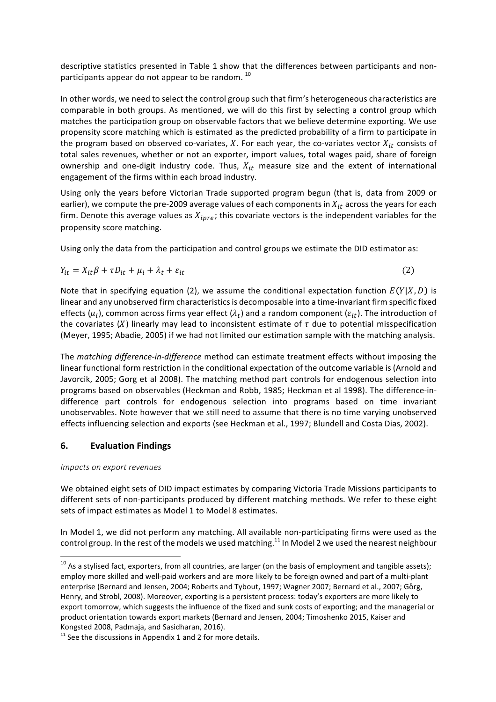descriptive statistics presented in Table 1 show that the differences between participants and nonparticipants appear do not appear to be random.  $^{10}$ 

In other words, we need to select the control group such that firm's heterogeneous characteristics are comparable in both groups. As mentioned, we will do this first by selecting a control group which matches the participation group on observable factors that we believe determine exporting. We use propensity score matching which is estimated as the predicted probability of a firm to participate in the program based on observed co-variates, X. For each year, the co-variates vector  $X_{it}$  consists of total sales revenues, whether or not an exporter, import values, total wages paid, share of foreign ownership and one-digit industry code. Thus,  $X_{it}$  measure size and the extent of international engagement of the firms within each broad industry.

Using only the years before Victorian Trade supported program begun (that is, data from 2009 or earlier), we compute the pre-2009 average values of each components in  $X_{it}$  across the years for each firm. Denote this average values as  $X_{i pre}$ ; this covariate vectors is the independent variables for the propensity score matching.

Using only the data from the participation and control groups we estimate the DID estimator as:

$$
Y_{it} = X_{it}\beta + \tau D_{it} + \mu_i + \lambda_t + \varepsilon_{it}
$$
\n<sup>(2)</sup>

Note that in specifying equation (2), we assume the conditional expectation function  $E(Y|X,D)$  is linear and any unobserved firm characteristics is decomposable into a time-invariant firm specific fixed effects ( $\mu_i$ ), common across firms year effect ( $\lambda_i$ ) and a random component ( $\varepsilon_{it}$ ). The introduction of the covariates  $(X)$  linearly may lead to inconsistent estimate of  $\tau$  due to potential misspecification (Meyer, 1995; Abadie, 2005) if we had not limited our estimation sample with the matching analysis.

The *matching difference-in-difference* method can estimate treatment effects without imposing the linear functional form restriction in the conditional expectation of the outcome variable is (Arnold and Javorcik, 2005; Gorg et al 2008). The matching method part controls for endogenous selection into programs based on observables (Heckman and Robb, 1985; Heckman et al 1998). The difference-indifference part controls for endogenous selection into programs based on time invariant unobservables. Note however that we still need to assume that there is no time varying unobserved effects influencing selection and exports (see Heckman et al., 1997; Blundell and Costa Dias, 2002).

### **6. Evaluation Findings**

<u> 1989 - Johann Barn, mars ann an t-Amhain an t-Amhain an t-Amhain an t-Amhain an t-Amhain an t-Amhain an t-Amh</u>

#### *Impacts on export revenues*

We obtained eight sets of DID impact estimates by comparing Victoria Trade Missions participants to different sets of non-participants produced by different matching methods. We refer to these eight sets of impact estimates as Model 1 to Model 8 estimates.

In Model 1, we did not perform any matching. All available non-participating firms were used as the control group. In the rest of the models we used matching.<sup>11</sup> In Model 2 we used the nearest neighbour

 $^{10}$  As a stylised fact, exporters, from all countries, are larger (on the basis of employment and tangible assets); employ more skilled and well-paid workers and are more likely to be foreign owned and part of a multi-plant enterprise (Bernard and Jensen, 2004; Roberts and Tybout, 1997; Wagner 2007; Bernard et al., 2007; Görg, Henry, and Strobl, 2008). Moreover, exporting is a persistent process: today's exporters are more likely to export tomorrow, which suggests the influence of the fixed and sunk costs of exporting; and the managerial or product orientation towards export markets (Bernard and Jensen, 2004; Timoshenko 2015, Kaiser and Kongsted 2008, Padmaja, and Sasidharan, 2016).

 $11$  See the discussions in Appendix 1 and 2 for more details.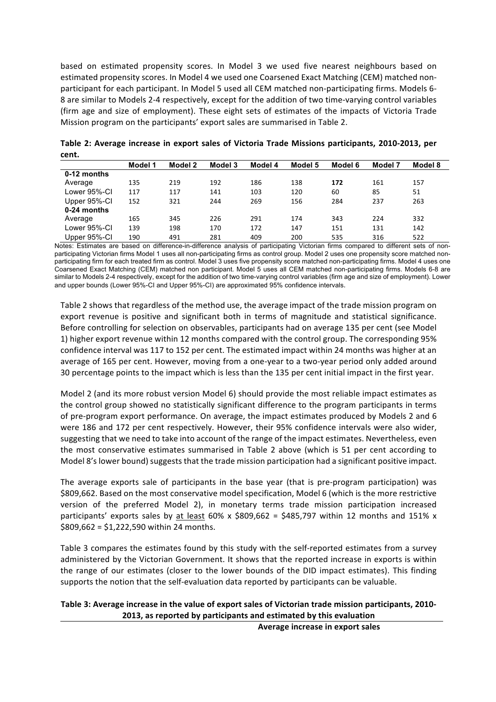based on estimated propensity scores. In Model 3 we used five nearest neighbours based on estimated propensity scores. In Model 4 we used one Coarsened Exact Matching (CEM) matched nonparticipant for each participant. In Model 5 used all CEM matched non-participating firms. Models 6-8 are similar to Models 2-4 respectively, except for the addition of two time-varying control variables (firm age and size of employment). These eight sets of estimates of the impacts of Victoria Trade Mission program on the participants' export sales are summarised in Table 2.

| LEIIL.       |         |         |         |         |         |         |         |         |
|--------------|---------|---------|---------|---------|---------|---------|---------|---------|
|              | Model 1 | Model 2 | Model 3 | Model 4 | Model 5 | Model 6 | Model 7 | Model 8 |
| 0-12 months  |         |         |         |         |         |         |         |         |
| Average      | 135     | 219     | 192     | 186     | 138     | 172     | 161     | 157     |
| Lower 95%-CI | 117     | 117     | 141     | 103     | 120     | 60      | 85      | 51      |
| Upper 95%-CI | 152     | 321     | 244     | 269     | 156     | 284     | 237     | 263     |
| 0-24 months  |         |         |         |         |         |         |         |         |
| Average      | 165     | 345     | 226     | 291     | 174     | 343     | 224     | 332     |
| Lower 95%-CI | 139     | 198     | 170     | 172     | 147     | 151     | 131     | 142     |
| Upper 95%-CI | 190     | 491     | 281     | 409     | 200     | 535     | 316     | 522     |

Table 2: Average increase in export sales of Victoria Trade Missions participants, 2010-2013, per **cent.** 

Notes: Estimates are based on difference-in-difference analysis of participating Victorian firms compared to different sets of nonparticipating Victorian firms Model 1 uses all non-participating firms as control group. Model 2 uses one propensity score matched nonparticipating firm for each treated firm as control. Model 3 uses five propensity score matched non-participating firms. Model 4 uses one Coarsened Exact Matching (CEM) matched non participant. Model 5 uses all CEM matched non-participating firms. Models 6-8 are similar to Models 2-4 respectively, except for the addition of two time-varying control variables (firm age and size of employment). Lower and upper bounds (Lower 95%-CI and Upper 95%-CI) are approximated 95% confidence intervals.

Table 2 shows that regardless of the method use, the average impact of the trade mission program on export revenue is positive and significant both in terms of magnitude and statistical significance. Before controlling for selection on observables, participants had on average 135 per cent (see Model 1) higher export revenue within 12 months compared with the control group. The corresponding 95% confidence interval was 117 to 152 per cent. The estimated impact within 24 months was higher at an average of 165 per cent. However, moving from a one-year to a two-year period only added around 30 percentage points to the impact which is less than the 135 per cent initial impact in the first year.

Model 2 (and its more robust version Model 6) should provide the most reliable impact estimates as the control group showed no statistically significant difference to the program participants in terms of pre-program export performance. On average, the impact estimates produced by Models 2 and 6 were 186 and 172 per cent respectively. However, their 95% confidence intervals were also wider, suggesting that we need to take into account of the range of the impact estimates. Nevertheless, even the most conservative estimates summarised in Table 2 above (which is 51 per cent according to Model 8's lower bound) suggests that the trade mission participation had a significant positive impact.

The average exports sale of participants in the base year (that is pre-program participation) was \$809,662. Based on the most conservative model specification, Model 6 (which is the more restrictive version of the preferred Model 2), in monetary terms trade mission participation increased participants' exports sales by at least 60% x \$809,662 = \$485,797 within 12 months and 151% x  $$809,662 = $1,222,590$  within 24 months.

Table 3 compares the estimates found by this study with the self-reported estimates from a survey administered by the Victorian Government. It shows that the reported increase in exports is within the range of our estimates (closer to the lower bounds of the DID impact estimates). This finding supports the notion that the self-evaluation data reported by participants can be valuable.

### Table 3: Average increase in the value of export sales of Victorian trade mission participants, 2010-**2013, as reported by participants and estimated by this evaluation**

**Average increase in export sales**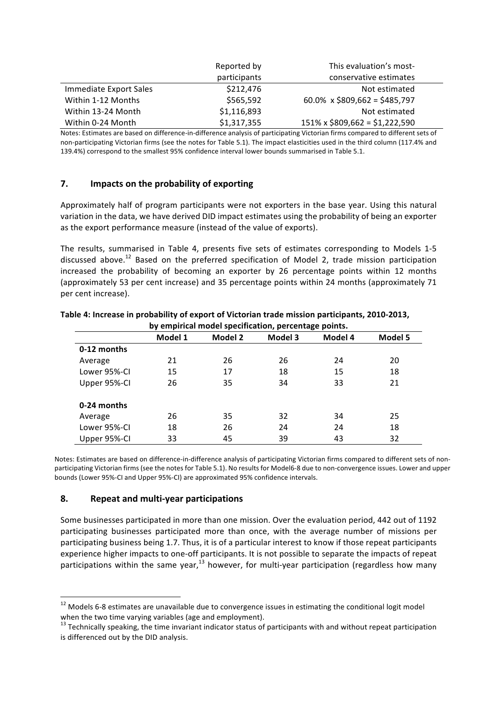|                        | Reported by  | This evaluation's most-              |  |
|------------------------|--------------|--------------------------------------|--|
|                        | participants | conservative estimates               |  |
| Immediate Export Sales | \$212,476    | Not estimated                        |  |
| Within 1-12 Months     | \$565,592    | 60.0% x \$809,662 = \$485,797        |  |
| Within 13-24 Month     | \$1,116,893  | Not estimated                        |  |
| Within 0-24 Month      | \$1,317,355  | $151\% \times $809,662 = $1,222,590$ |  |

Notes: Estimates are based on difference-in-difference analysis of participating Victorian firms compared to different sets of non-participating Victorian firms (see the notes for Table 5.1). The impact elasticities used in the third column (117.4% and 139.4%) correspond to the smallest 95% confidence interval lower bounds summarised in Table 5.1.

# **7.** Impacts on the probability of exporting

Approximately half of program participants were not exporters in the base year. Using this natural variation in the data, we have derived DID impact estimates using the probability of being an exporter as the export performance measure (instead of the value of exports).

The results, summarised in Table 4, presents five sets of estimates corresponding to Models 1-5 discussed above.<sup>12</sup> Based on the preferred specification of Model 2, trade mission participation increased the probability of becoming an exporter by 26 percentage points within 12 months (approximately 53 per cent increase) and 35 percentage points within 24 months (approximately 71 per cent increase).

| by empirical model specification, percentage points. |         |         |         |         |         |  |  |
|------------------------------------------------------|---------|---------|---------|---------|---------|--|--|
|                                                      | Model 1 | Model 2 | Model 3 | Model 4 | Model 5 |  |  |
| 0-12 months                                          |         |         |         |         |         |  |  |
| Average                                              | 21      | 26      | 26      | 24      | 20      |  |  |
| Lower 95%-CI                                         | 15      | 17      | 18      | 15      | 18      |  |  |
| Upper 95%-CI                                         | 26      | 35      | 34      | 33      | 21      |  |  |
| 0-24 months                                          |         |         |         |         |         |  |  |
| Average                                              | 26      | 35      | 32      | 34      | 25      |  |  |
| Lower 95%-CI                                         | 18      | 26      | 24      | 24      | 18      |  |  |
| Upper 95%-CI                                         | 33      | 45      | 39      | 43      | 32      |  |  |

#### Table 4: Increase in probability of export of Victorian trade mission participants, 2010-2013, **by empirical model specification, percentage points.**

Notes: Estimates are based on difference-in-difference analysis of participating Victorian firms compared to different sets of nonparticipating Victorian firms (see the notes for Table 5.1). No results for Model6-8 due to non-convergence issues. Lower and upper bounds (Lower 95%-CI and Upper 95%-CI) are approximated 95% confidence intervals.

#### **8. Repeat and multi-year participations**

Some businesses participated in more than one mission. Over the evaluation period, 442 out of 1192 participating businesses participated more than once, with the average number of missions per participating business being 1.7. Thus, it is of a particular interest to know if those repeat participants experience higher impacts to one-off participants. It is not possible to separate the impacts of repeat participations within the same year,<sup>13</sup> however, for multi-year participation (regardless how many

 $12$  Models 6-8 estimates are unavailable due to convergence issues in estimating the conditional logit model when the two time varying variables (age and employment).

 $13$  Technically speaking, the time invariant indicator status of participants with and without repeat participation is differenced out by the DID analysis.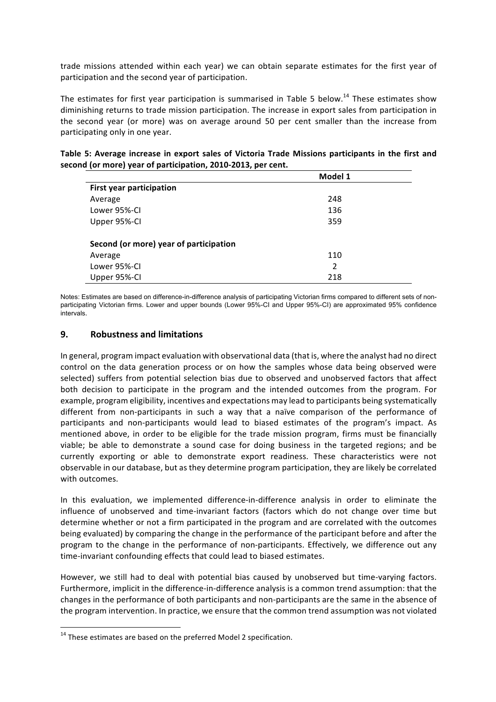trade missions attended within each year) we can obtain separate estimates for the first year of participation and the second year of participation.

The estimates for first year participation is summarised in Table 5 below.<sup>14</sup> These estimates show diminishing returns to trade mission participation. The increase in export sales from participation in the second year (or more) was on average around 50 per cent smaller than the increase from participating only in one year.

|                                        | Model 1       |  |
|----------------------------------------|---------------|--|
| <b>First year participation</b>        |               |  |
| Average                                | 248           |  |
| Lower 95%-CI                           | 136           |  |
| Upper 95%-CI                           | 359           |  |
| Second (or more) year of participation |               |  |
| Average                                | 110           |  |
| Lower 95%-CI                           | $\mathcal{P}$ |  |

| Table 5: Average increase in export sales of Victoria Trade Missions participants in the first and |  |  |
|----------------------------------------------------------------------------------------------------|--|--|
| second (or more) year of participation, 2010-2013, per cent.                                       |  |  |

Notes: Estimates are based on difference-in-difference analysis of participating Victorian firms compared to different sets of nonparticipating Victorian firms. Lower and upper bounds (Lower 95%-CI and Upper 95%-CI) are approximated 95% confidence intervals.

Upper 95%-CI 218

#### **9. Robustness and limitations**

In general, program impact evaluation with observational data (that is, where the analyst had no direct control on the data generation process or on how the samples whose data being observed were selected) suffers from potential selection bias due to observed and unobserved factors that affect both decision to participate in the program and the intended outcomes from the program. For example, program eligibility, incentives and expectations may lead to participants being systematically different from non-participants in such a way that a naïve comparison of the performance of participants and non-participants would lead to biased estimates of the program's impact. As mentioned above, in order to be eligible for the trade mission program, firms must be financially viable; be able to demonstrate a sound case for doing business in the targeted regions; and be currently exporting or able to demonstrate export readiness. These characteristics were not observable in our database, but as they determine program participation, they are likely be correlated with outcomes.

In this evaluation, we implemented difference-in-difference analysis in order to eliminate the influence of unobserved and time-invariant factors (factors which do not change over time but determine whether or not a firm participated in the program and are correlated with the outcomes being evaluated) by comparing the change in the performance of the participant before and after the program to the change in the performance of non-participants. Effectively, we difference out any time-invariant confounding effects that could lead to biased estimates.

However, we still had to deal with potential bias caused by unobserved but time-varying factors. Furthermore, implicit in the difference-in-difference analysis is a common trend assumption: that the changes in the performance of both participants and non-participants are the same in the absence of the program intervention. In practice, we ensure that the common trend assumption was not violated

 

 $14$  These estimates are based on the preferred Model 2 specification.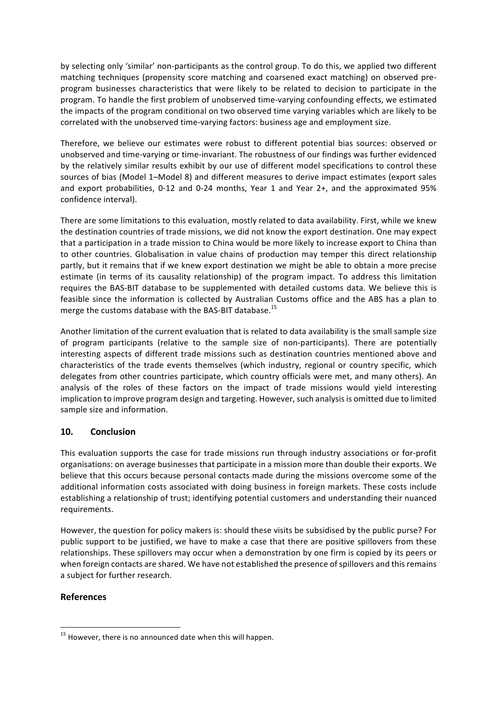by selecting only 'similar' non-participants as the control group. To do this, we applied two different matching techniques (propensity score matching and coarsened exact matching) on observed preprogram businesses characteristics that were likely to be related to decision to participate in the program. To handle the first problem of unobserved time-varying confounding effects, we estimated the impacts of the program conditional on two observed time varying variables which are likely to be correlated with the unobserved time-varying factors: business age and employment size.

Therefore, we believe our estimates were robust to different potential bias sources: observed or unobserved and time-varying or time-invariant. The robustness of our findings was further evidenced by the relatively similar results exhibit by our use of different model specifications to control these sources of bias (Model 1-Model 8) and different measures to derive impact estimates (export sales and export probabilities,  $0-12$  and  $0-24$  months, Year 1 and Year  $2+$ , and the approximated 95% confidence interval).

There are some limitations to this evaluation, mostly related to data availability. First, while we knew the destination countries of trade missions, we did not know the export destination. One may expect that a participation in a trade mission to China would be more likely to increase export to China than to other countries. Globalisation in value chains of production may temper this direct relationship partly, but it remains that if we knew export destination we might be able to obtain a more precise estimate (in terms of its causality relationship) of the program impact. To address this limitation requires the BAS-BIT database to be supplemented with detailed customs data. We believe this is feasible since the information is collected by Australian Customs office and the ABS has a plan to merge the customs database with the BAS-BIT database.<sup>15</sup>

Another limitation of the current evaluation that is related to data availability is the small sample size of program participants (relative to the sample size of non-participants). There are potentially interesting aspects of different trade missions such as destination countries mentioned above and characteristics of the trade events themselves (which industry, regional or country specific, which delegates from other countries participate, which country officials were met, and many others). An analysis of the roles of these factors on the impact of trade missions would yield interesting implication to improve program design and targeting. However, such analysis is omitted due to limited sample size and information.

# **10. Conclusion**

This evaluation supports the case for trade missions run through industry associations or for-profit organisations: on average businesses that participate in a mission more than double their exports. We believe that this occurs because personal contacts made during the missions overcome some of the additional information costs associated with doing business in foreign markets. These costs include establishing a relationship of trust; identifying potential customers and understanding their nuanced requirements.

However, the question for policy makers is: should these visits be subsidised by the public purse? For public support to be justified, we have to make a case that there are positive spillovers from these relationships. These spillovers may occur when a demonstration by one firm is copied by its peers or when foreign contacts are shared. We have not established the presence of spillovers and this remains a subject for further research.

# **References**

 

 $15$  However, there is no announced date when this will happen.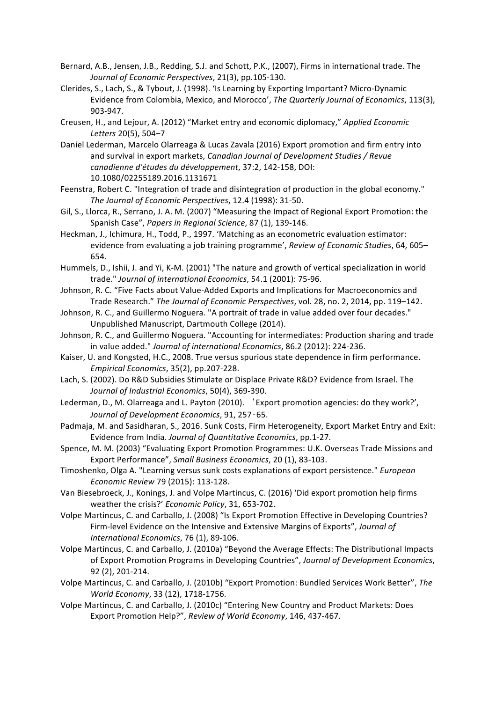- Bernard, A.B., Jensen, J.B., Redding, S.J. and Schott, P.K., (2007), Firms in international trade. The *Journal of Economic Perspectives*, 21(3), pp.105-130.
- Clerides, S., Lach, S., & Tybout, J. (1998). 'Is Learning by Exporting Important? Micro-Dynamic Evidence from Colombia, Mexico, and Morocco', The Quarterly Journal of Economics, 113(3), 903-947.
- Creusen, H., and Lejour, A. (2012) "Market entry and economic diplomacy," Applied Economic Letters 20(5), 504-7
- Daniel Lederman, Marcelo Olarreaga & Lucas Zavala (2016) Export promotion and firm entry into and survival in export markets, *Canadian Journal of Development Studies* / Revue *canadienne d'études du développement*, 37:2, 142-158, DOI: 10.1080/02255189.2016.1131671
- Feenstra, Robert C. "Integration of trade and disintegration of production in the global economy." The Journal of Economic Perspectives, 12.4 (1998): 31-50.
- Gil, S., Llorca, R., Serrano, J. A. M. (2007) "Measuring the Impact of Regional Export Promotion: the Spanish Case", Papers in Regional Science, 87 (1), 139-146.
- Heckman, J., Ichimura, H., Todd, P., 1997. 'Matching as an econometric evaluation estimator: evidence from evaluating a job training programme', *Review of Economic Studies*, 64, 605– 654.
- Hummels, D., Ishii, J. and Yi, K-M. (2001) "The nature and growth of vertical specialization in world trade." Journal of international Economics, 54.1 (2001): 75-96.
- Johnson, R. C. "Five Facts about Value-Added Exports and Implications for Macroeconomics and Trade Research." The Journal of Economic Perspectives, vol. 28, no. 2, 2014, pp. 119-142.
- Johnson, R. C., and Guillermo Noguera. "A portrait of trade in value added over four decades." Unpublished Manuscript, Dartmouth College (2014).
- Johnson, R. C., and Guillermo Noguera. "Accounting for intermediates: Production sharing and trade in value added." Journal of international Economics, 86.2 (2012): 224-236.
- Kaiser, U. and Kongsted, H.C., 2008. True versus spurious state dependence in firm performance. *Empirical Economics*, 35(2), pp.207-228.
- Lach, S. (2002). Do R&D Subsidies Stimulate or Displace Private R&D? Evidence from Israel. The Journal of Industrial Economics, 50(4), 369-390.
- Lederman, D., M. Olarreaga and L. Payton (2010). 'Export promotion agencies: do they work?', Journal of Development Economics, 91, 257-65.
- Padmaja, M. and Sasidharan, S., 2016. Sunk Costs, Firm Heterogeneity, Export Market Entry and Exit: Evidence from India. *Journal of Quantitative Economics*, pp.1-27.
- Spence, M. M. (2003) "Evaluating Export Promotion Programmes: U.K. Overseas Trade Missions and Export Performance", Small Business Economics, 20 (1), 83-103.
- Timoshenko, Olga A. "Learning versus sunk costs explanations of export persistence." *European Economic Review* 79 (2015): 113-128.
- Van Biesebroeck, J., Konings, J. and Volpe Martincus, C. (2016) 'Did export promotion help firms weather the crisis?' *Economic Policy*, 31, 653-702.
- Volpe Martincus, C. and Carballo, J. (2008) "Is Export Promotion Effective in Developing Countries? Firm-level Evidence on the Intensive and Extensive Margins of Exports", *Journal of International Economics*, 76 (1), 89-106.
- Volpe Martincus, C. and Carballo, J. (2010a) "Beyond the Average Effects: The Distributional Impacts of Export Promotion Programs in Developing Countries", Journal of Development Economics, 92 (2), 201-214.
- Volpe Martincus, C. and Carballo, J. (2010b) "Export Promotion: Bundled Services Work Better", The *World Economy*, 33 (12), 1718-1756.
- Volpe Martincus, C. and Carballo, J. (2010c) "Entering New Country and Product Markets: Does Export Promotion Help?", Review of World Economy, 146, 437-467.